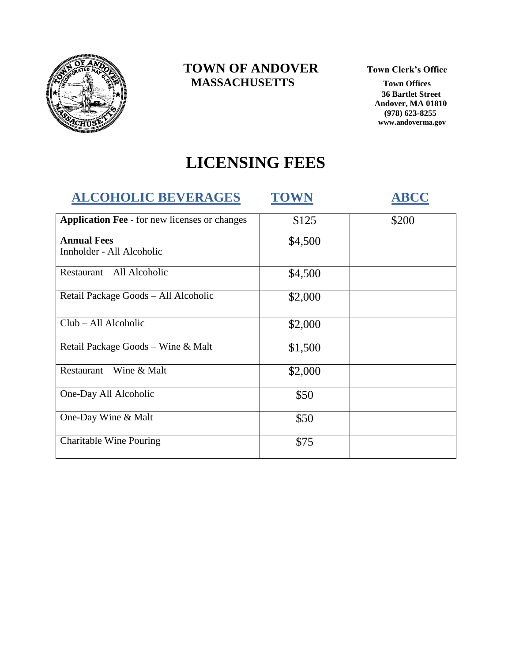

#### **TOWN OF ANDOVER** Town Clerk's Office  **MASSACHUSETTS Town Offices**

 **36 Bartlet Street Andover, MA 01810 (978) 623-8255 www.andoverma.gov**

# **LICENSING FEES**

| <b>ALCOHOLIC BEVERAGES</b>                           | <b>TOWN</b> | <b>ABCC</b> |
|------------------------------------------------------|-------------|-------------|
| <b>Application Fee</b> - for new licenses or changes | \$125       | \$200       |
| <b>Annual Fees</b><br>Innholder - All Alcoholic      | \$4,500     |             |
| Restaurant – All Alcoholic                           | \$4,500     |             |
| Retail Package Goods - All Alcoholic                 | \$2,000     |             |
| Club – All Alcoholic                                 | \$2,000     |             |
| Retail Package Goods – Wine & Malt                   | \$1,500     |             |
| Restaurant – Wine & Malt                             | \$2,000     |             |
| One-Day All Alcoholic                                | \$50        |             |
| One-Day Wine & Malt                                  | \$50        |             |
| <b>Charitable Wine Pouring</b>                       | \$75        |             |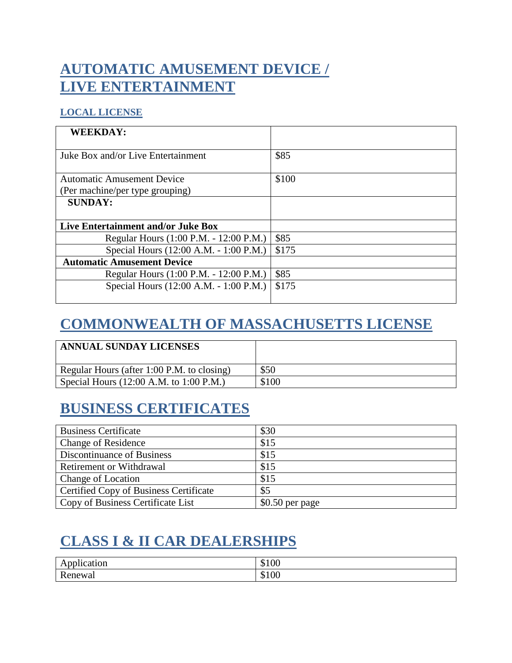# **AUTOMATIC AMUSEMENT DEVICE / LIVE ENTERTAINMENT**

#### **LOCAL LICENSE**

| <b>WEEKDAY:</b>                        |       |
|----------------------------------------|-------|
| Juke Box and/or Live Entertainment     | \$85  |
|                                        |       |
| <b>Automatic Amusement Device</b>      | \$100 |
| (Per machine/per type grouping)        |       |
| <b>SUNDAY:</b>                         |       |
|                                        |       |
| Live Entertainment and/or Juke Box     |       |
| Regular Hours (1:00 P.M. - 12:00 P.M.) | \$85  |
| Special Hours (12:00 A.M. - 1:00 P.M.) | \$175 |
| <b>Automatic Amusement Device</b>      |       |
| Regular Hours (1:00 P.M. - 12:00 P.M.) | \$85  |
| Special Hours (12:00 A.M. - 1:00 P.M.) | \$175 |
|                                        |       |

### **COMMONWEALTH OF MASSACHUSETTS LICENSE**

| <b>ANNUAL SUNDAY LICENSES</b>                              |       |
|------------------------------------------------------------|-------|
| Regular Hours (after 1:00 P.M. to closing)                 | \$50  |
| Special Hours $(12:00 \text{ A.M. to } 1:00 \text{ P.M.})$ | \$100 |

### **BUSINESS CERTIFICATES**

| <b>Business Certificate</b>                   | \$30             |
|-----------------------------------------------|------------------|
| <b>Change of Residence</b>                    | \$15             |
| Discontinuance of Business                    | \$15             |
| <b>Retirement or Withdrawal</b>               | \$15             |
| <b>Change of Location</b>                     | \$15             |
| <b>Certified Copy of Business Certificate</b> | \$5              |
| Copy of Business Certificate List             | $$0.50$ per page |

# **CLASS I & II CAR DEALERSHIPS**

| $\sim$ $\sim$<br>$.$ nnl100t10r<br><b>bucation</b><br>ЛL | $\Omega$<br>$\mathbb{C}^n$<br>0.100 |
|----------------------------------------------------------|-------------------------------------|
| Ð<br>Renewal                                             | $\Omega$<br>$\mathbb{C}$ 1<br>2100  |